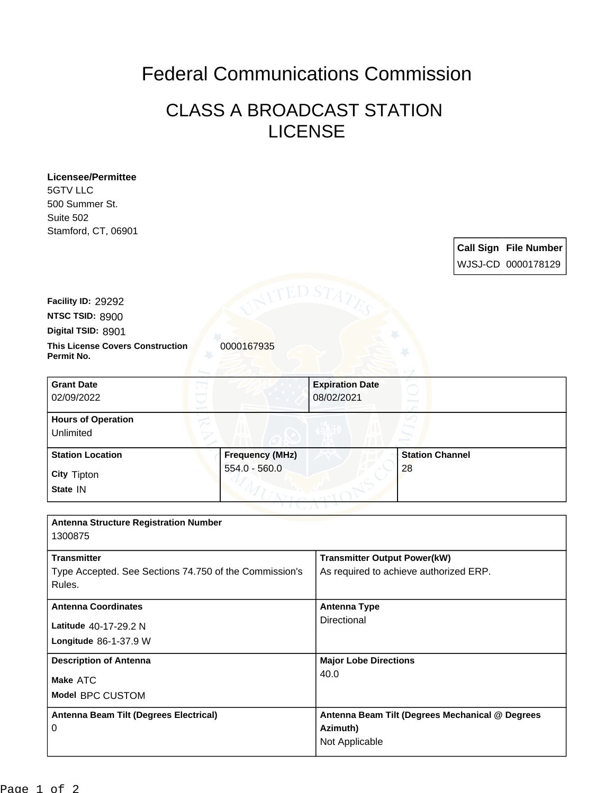## Federal Communications Commission

## CLASS A BROADCAST STATION LICENSE

| <b>Licensee/Permittee</b><br><b>5GTV LLC</b>                     |                                     |                                                 |                        |  |                              |
|------------------------------------------------------------------|-------------------------------------|-------------------------------------------------|------------------------|--|------------------------------|
| 500 Summer St.                                                   |                                     |                                                 |                        |  |                              |
| Suite 502                                                        |                                     |                                                 |                        |  |                              |
| Stamford, CT, 06901                                              |                                     |                                                 |                        |  |                              |
|                                                                  |                                     |                                                 |                        |  | <b>Call Sign File Number</b> |
|                                                                  |                                     |                                                 |                        |  | WJSJ-CD 0000178129           |
| Facility ID: 29292                                               |                                     | ED S7                                           |                        |  |                              |
| NTSC TSID: 8900                                                  |                                     |                                                 |                        |  |                              |
| Digital TSID: 8901                                               |                                     |                                                 |                        |  |                              |
| <b>This License Covers Construction</b><br>Permit No.            | 0000167935                          |                                                 |                        |  |                              |
| <b>Grant Date</b>                                                |                                     | <b>Expiration Date</b>                          |                        |  |                              |
| 02/09/2022                                                       |                                     | 08/02/2021                                      |                        |  |                              |
| <b>Hours of Operation</b><br>Unlimited                           |                                     |                                                 |                        |  |                              |
| <b>Station Location</b>                                          | <b>Frequency (MHz)</b>              |                                                 | <b>Station Channel</b> |  |                              |
| <b>City Tipton</b>                                               | 554.0 - 560.0                       |                                                 | 28                     |  |                              |
| State IN                                                         |                                     |                                                 |                        |  |                              |
|                                                                  |                                     |                                                 |                        |  |                              |
| <b>Antenna Structure Registration Number</b><br>1300875          |                                     |                                                 |                        |  |                              |
| <b>Transmitter</b>                                               | <b>Transmitter Output Power(kW)</b> |                                                 |                        |  |                              |
| Type Accepted. See Sections 74.750 of the Commission's<br>Rules. |                                     | As required to achieve authorized ERP.          |                        |  |                              |
| <b>Antenna Coordinates</b>                                       |                                     | <b>Antenna Type</b>                             |                        |  |                              |
| Latitude 40-17-29.2 N                                            |                                     | Directional                                     |                        |  |                              |
| Longitude 86-1-37.9 W                                            |                                     |                                                 |                        |  |                              |
| <b>Description of Antenna</b>                                    |                                     | <b>Major Lobe Directions</b>                    |                        |  |                              |
| Make ATC                                                         |                                     | 40.0                                            |                        |  |                              |
| Model BPC CUSTOM                                                 |                                     |                                                 |                        |  |                              |
| Antenna Beam Tilt (Degrees Electrical)<br>0                      |                                     | Antenna Beam Tilt (Degrees Mechanical @ Degrees |                        |  |                              |
|                                                                  |                                     | Azimuth)                                        |                        |  |                              |
|                                                                  | Not Applicable                      |                                                 |                        |  |                              |